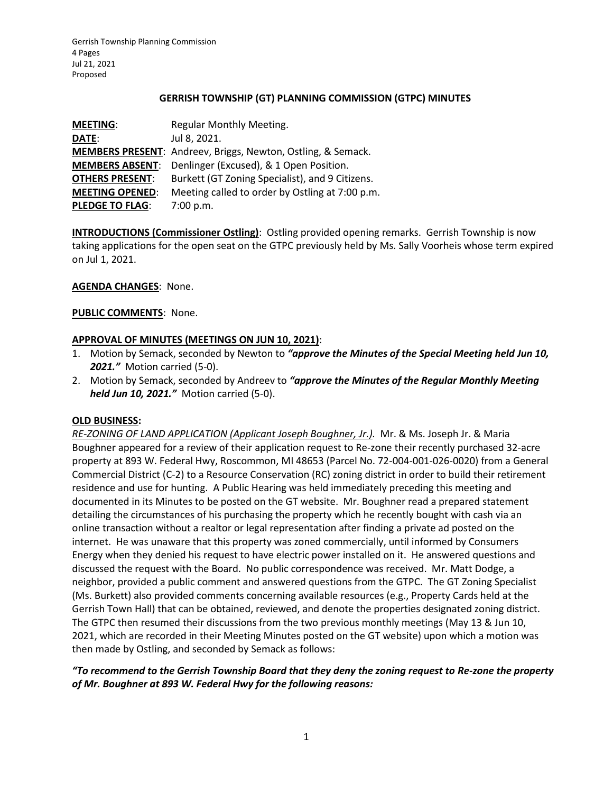## **GERRISH TOWNSHIP (GT) PLANNING COMMISSION (GTPC) MINUTES**

| <b>MEETING:</b>        | Regular Monthly Meeting.                                     |
|------------------------|--------------------------------------------------------------|
| DATE:                  | Jul 8, 2021.                                                 |
|                        | MEMBERS PRESENT: Andreev, Briggs, Newton, Ostling, & Semack. |
| <b>MEMBERS ABSENT:</b> | Denlinger (Excused), & 1 Open Position.                      |
| <b>OTHERS PRESENT:</b> | Burkett (GT Zoning Specialist), and 9 Citizens.              |
| <b>MEETING OPENED:</b> | Meeting called to order by Ostling at 7:00 p.m.              |
| <b>PLEDGE TO FLAG:</b> | 7:00 p.m.                                                    |

**INTRODUCTIONS (Commissioner Ostling)**: Ostling provided opening remarks. Gerrish Township is now taking applications for the open seat on the GTPC previously held by Ms. Sally Voorheis whose term expired on Jul 1, 2021.

## **AGENDA CHANGES**: None.

## **PUBLIC COMMENTS**: None.

## **APPROVAL OF MINUTES (MEETINGS ON JUN 10, 2021)**:

- 1. Motion by Semack, seconded by Newton to *"approve the Minutes of the Special Meeting held Jun 10, 2021."* Motion carried (5-0).
- 2. Motion by Semack, seconded by Andreev to *"approve the Minutes of the Regular Monthly Meeting held Jun 10, 2021."* Motion carried (5-0).

#### **OLD BUSINESS:**

*RE-ZONING OF LAND APPLICATION (Applicant Joseph Boughner, Jr.).* Mr. & Ms. Joseph Jr. & Maria Boughner appeared for a review of their application request to Re-zone their recently purchased 32-acre property at 893 W. Federal Hwy, Roscommon, MI 48653 (Parcel No. 72-004-001-026-0020) from a General Commercial District (C-2) to a Resource Conservation (RC) zoning district in order to build their retirement residence and use for hunting. A Public Hearing was held immediately preceding this meeting and documented in its Minutes to be posted on the GT website. Mr. Boughner read a prepared statement detailing the circumstances of his purchasing the property which he recently bought with cash via an online transaction without a realtor or legal representation after finding a private ad posted on the internet. He was unaware that this property was zoned commercially, until informed by Consumers Energy when they denied his request to have electric power installed on it. He answered questions and discussed the request with the Board. No public correspondence was received. Mr. Matt Dodge, a neighbor, provided a public comment and answered questions from the GTPC. The GT Zoning Specialist (Ms. Burkett) also provided comments concerning available resources (e.g., Property Cards held at the Gerrish Town Hall) that can be obtained, reviewed, and denote the properties designated zoning district. The GTPC then resumed their discussions from the two previous monthly meetings (May 13 & Jun 10, 2021, which are recorded in their Meeting Minutes posted on the GT website) upon which a motion was then made by Ostling, and seconded by Semack as follows:

# *"To recommend to the Gerrish Township Board that they deny the zoning request to Re-zone the property of Mr. Boughner at 893 W. Federal Hwy for the following reasons:*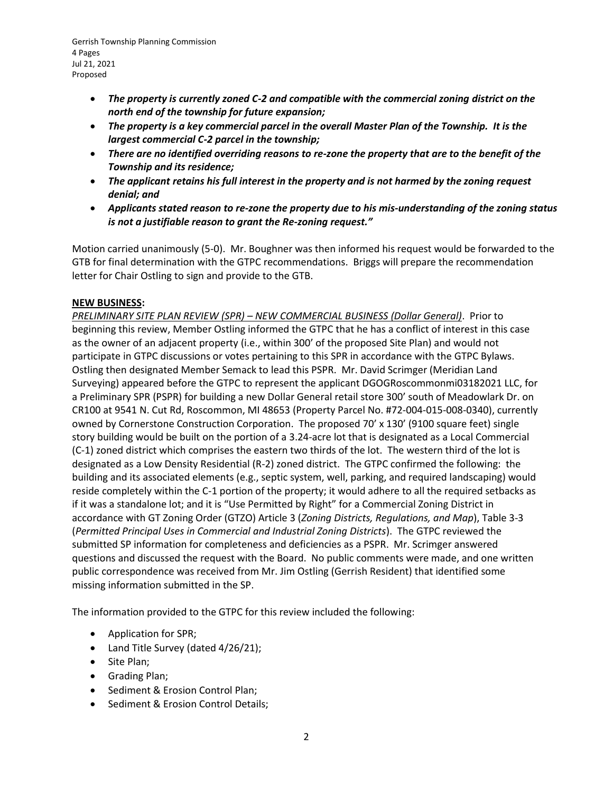Gerrish Township Planning Commission 4 Pages Jul 21, 2021 Proposed

- *The property is currently zoned C-2 and compatible with the commercial zoning district on the north end of the township for future expansion;*
- *The property is a key commercial parcel in the overall Master Plan of the Township. It is the largest commercial C-2 parcel in the township;*
- *There are no identified overriding reasons to re-zone the property that are to the benefit of the Township and its residence;*
- *The applicant retains his full interest in the property and is not harmed by the zoning request denial; and*
- *Applicants stated reason to re-zone the property due to his mis-understanding of the zoning status is not a justifiable reason to grant the Re-zoning request."*

Motion carried unanimously (5-0). Mr. Boughner was then informed his request would be forwarded to the GTB for final determination with the GTPC recommendations. Briggs will prepare the recommendation letter for Chair Ostling to sign and provide to the GTB.

# **NEW BUSINESS:**

*PRELIMINARY SITE PLAN REVIEW (SPR) – NEW COMMERCIAL BUSINESS (Dollar General)*. Prior to beginning this review, Member Ostling informed the GTPC that he has a conflict of interest in this case as the owner of an adjacent property (i.e., within 300' of the proposed Site Plan) and would not participate in GTPC discussions or votes pertaining to this SPR in accordance with the GTPC Bylaws. Ostling then designated Member Semack to lead this PSPR. Mr. David Scrimger (Meridian Land Surveying) appeared before the GTPC to represent the applicant DGOGRoscommonmi03182021 LLC, for a Preliminary SPR (PSPR) for building a new Dollar General retail store 300' south of Meadowlark Dr. on CR100 at 9541 N. Cut Rd, Roscommon, MI 48653 (Property Parcel No. #72-004-015-008-0340), currently owned by Cornerstone Construction Corporation. The proposed 70' x 130' (9100 square feet) single story building would be built on the portion of a 3.24-acre lot that is designated as a Local Commercial (C-1) zoned district which comprises the eastern two thirds of the lot. The western third of the lot is designated as a Low Density Residential (R-2) zoned district. The GTPC confirmed the following: the building and its associated elements (e.g., septic system, well, parking, and required landscaping) would reside completely within the C-1 portion of the property; it would adhere to all the required setbacks as if it was a standalone lot; and it is "Use Permitted by Right" for a Commercial Zoning District in accordance with GT Zoning Order (GTZO) Article 3 (*Zoning Districts, Regulations, and Map*), Table 3-3 (*Permitted Principal Uses in Commercial and Industrial Zoning Districts*). The GTPC reviewed the submitted SP information for completeness and deficiencies as a PSPR. Mr. Scrimger answered questions and discussed the request with the Board. No public comments were made, and one written public correspondence was received from Mr. Jim Ostling (Gerrish Resident) that identified some missing information submitted in the SP.

The information provided to the GTPC for this review included the following:

- Application for SPR;
- Land Title Survey (dated 4/26/21);
- Site Plan;
- Grading Plan;
- Sediment & Erosion Control Plan;
- Sediment & Erosion Control Details;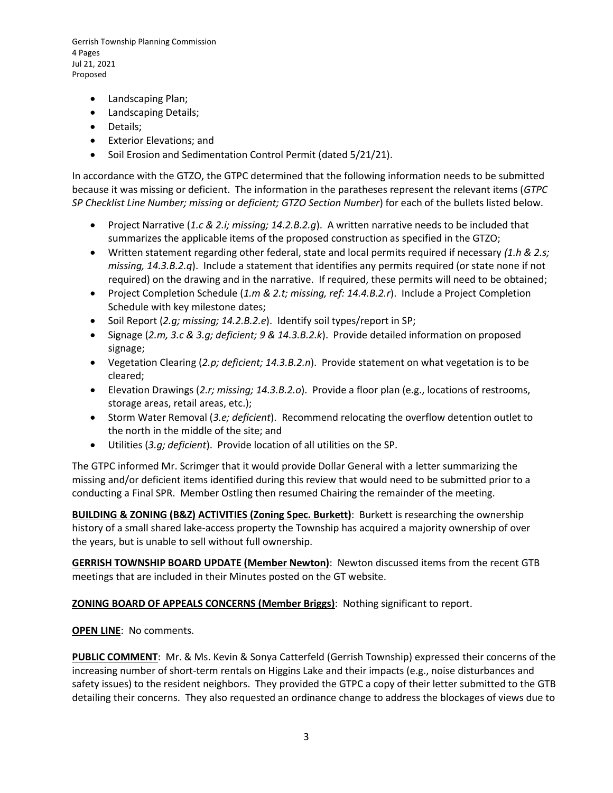Gerrish Township Planning Commission 4 Pages Jul 21, 2021 Proposed

- Landscaping Plan;
- Landscaping Details;
- Details;
- Exterior Elevations; and
- Soil Erosion and Sedimentation Control Permit (dated 5/21/21).

In accordance with the GTZO, the GTPC determined that the following information needs to be submitted because it was missing or deficient. The information in the paratheses represent the relevant items (*GTPC SP Checklist Line Number; missing* or *deficient; GTZO Section Number*) for each of the bullets listed below.

- Project Narrative (*1.c & 2.i; missing; 14.2.B.2.g*). A written narrative needs to be included that summarizes the applicable items of the proposed construction as specified in the GTZO;
- Written statement regarding other federal, state and local permits required if necessary *(1.h & 2.s; missing, 14.3.B.2.q*). Include a statement that identifies any permits required (or state none if not required) on the drawing and in the narrative. If required, these permits will need to be obtained;
- Project Completion Schedule (*1.m & 2.t; missing, ref: 14.4.B.2.r*). Include a Project Completion Schedule with key milestone dates;
- Soil Report (*2.g; missing; 14.2.B.2.e*). Identify soil types/report in SP;
- Signage (*2.m, 3.c & 3.g; deficient; 9 & 14.3.B.2.k*). Provide detailed information on proposed signage;
- Vegetation Clearing (*2.p; deficient; 14.3.B.2.n*). Provide statement on what vegetation is to be cleared;
- Elevation Drawings (*2.r; missing; 14.3.B.2.o*). Provide a floor plan (e.g., locations of restrooms, storage areas, retail areas, etc.);
- Storm Water Removal (*3.e; deficient*). Recommend relocating the overflow detention outlet to the north in the middle of the site; and
- Utilities (*3.g; deficient*). Provide location of all utilities on the SP.

The GTPC informed Mr. Scrimger that it would provide Dollar General with a letter summarizing the missing and/or deficient items identified during this review that would need to be submitted prior to a conducting a Final SPR. Member Ostling then resumed Chairing the remainder of the meeting.

**BUILDING & ZONING (B&Z) ACTIVITIES (Zoning Spec. Burkett)**: Burkett is researching the ownership history of a small shared lake-access property the Township has acquired a majority ownership of over the years, but is unable to sell without full ownership.

**GERRISH TOWNSHIP BOARD UPDATE (Member Newton)**: Newton discussed items from the recent GTB meetings that are included in their Minutes posted on the GT website.

## **ZONING BOARD OF APPEALS CONCERNS (Member Briggs)**: Nothing significant to report.

**OPEN LINE**: No comments.

**PUBLIC COMMENT**: Mr. & Ms. Kevin & Sonya Catterfeld (Gerrish Township) expressed their concerns of the increasing number of short-term rentals on Higgins Lake and their impacts (e.g., noise disturbances and safety issues) to the resident neighbors. They provided the GTPC a copy of their letter submitted to the GTB detailing their concerns. They also requested an ordinance change to address the blockages of views due to